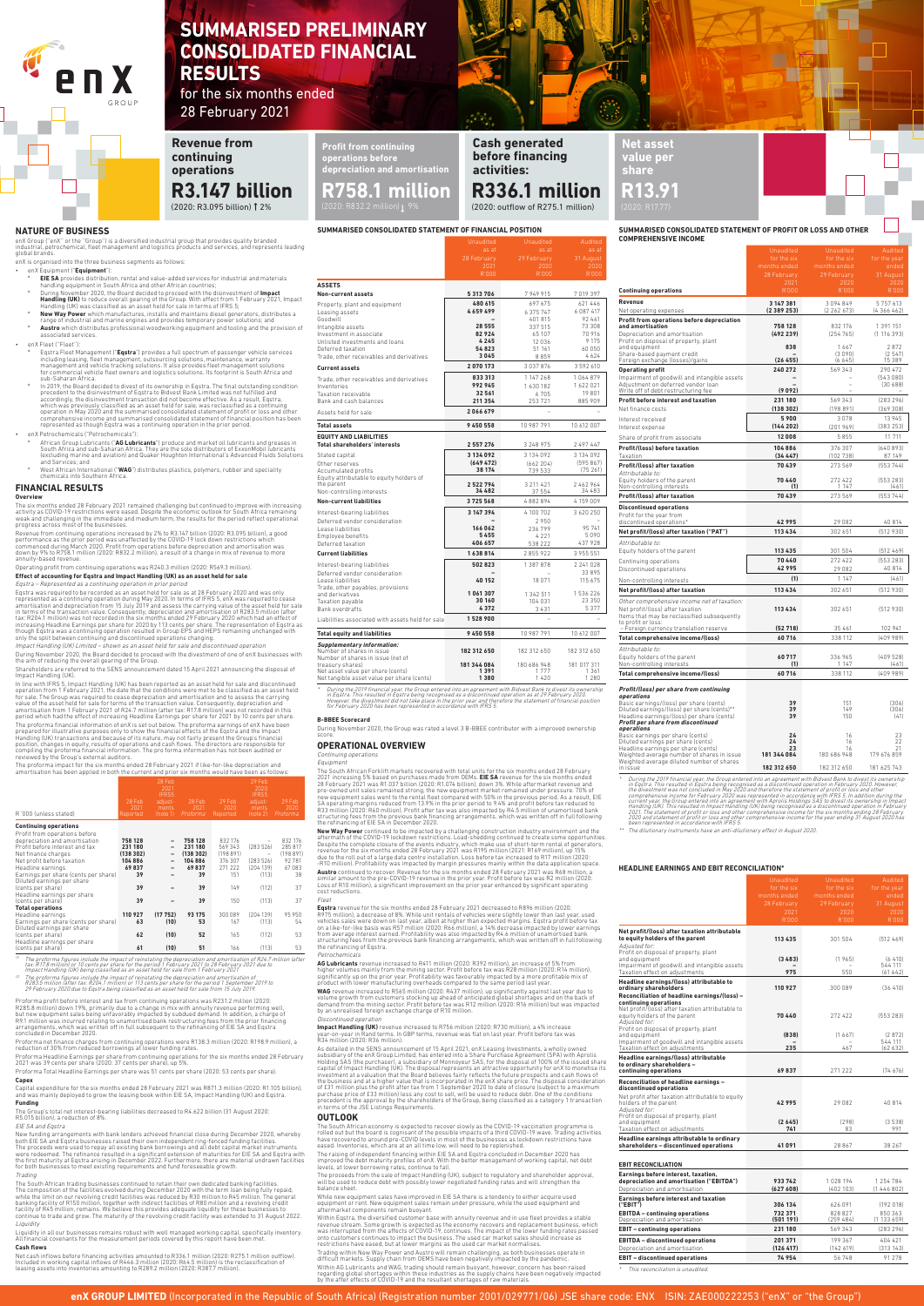**enX GROUP LIMITED** (Incorporated in the Republic of South Africa) (Registration number 2001/029771/06) JSE share code: ENX ISIN: ZAE000222253 ("enX" or "the Group")

## **SUMMARISED CONSOLIDATED STATEMENT OF FINANCIAL POSITION**

|                                                                                                                                                                                                                | 28 February<br>2021                                              | 29 February<br>2020                                                                | 31 August<br>2020                                                            |
|----------------------------------------------------------------------------------------------------------------------------------------------------------------------------------------------------------------|------------------------------------------------------------------|------------------------------------------------------------------------------------|------------------------------------------------------------------------------|
|                                                                                                                                                                                                                | R'000                                                            | R'000                                                                              | R'000                                                                        |
| <b>ASSETS</b>                                                                                                                                                                                                  |                                                                  |                                                                                    |                                                                              |
| Non-current assets                                                                                                                                                                                             | 5313706                                                          | 7949915                                                                            | 7019397                                                                      |
| Property, plant and equipment<br>Leasing assets<br>Goodwill<br>Intangible assets<br>Investment in associate<br>Unlisted investments and loans<br>Deferred taxation<br>Trade, other receivables and derivatives | 480 615<br>4659499<br>28 5 5 5<br>82924<br>4245<br>54823<br>3045 | 697 675<br>6 375 747<br>401 815<br>337 515<br>65 107<br>12 0 3 6<br>51 161<br>8859 | 621 446<br>6087417<br>92 461<br>73 308<br>70916<br>9 1 7 5<br>60 050<br>4624 |
| <b>Current assets</b>                                                                                                                                                                                          | 2070173                                                          | 3037876                                                                            | 3592610                                                                      |
| Trade, other receivables and derivatives<br>Inventories<br>Taxation receivable<br>Bank and cash balances<br>Assets held for sale                                                                               | 833313<br>992945<br>32 561<br>211 354<br>2066679                 | 1 147 268<br>1630182<br>6705<br>253721                                             | 1064879<br>1622021<br>19801<br>885 909                                       |
| <b>Total assets</b>                                                                                                                                                                                            | 9450558                                                          | 10 987 791                                                                         | 10 612 007                                                                   |
| <b>EQUITY AND LIABILITIES</b>                                                                                                                                                                                  |                                                                  |                                                                                    |                                                                              |
| <b>Total shareholders' interests</b>                                                                                                                                                                           | 2 5 5 7 2 7 6                                                    | 3 248 975                                                                          | 2 497 447                                                                    |
| Stated capital<br>Other reserves<br>Accumulated profits<br>Equity attributable to equity holders of<br>the parent                                                                                              | 3 134 092<br>(649472)<br>38 174<br>2522794                       | 3 134 092<br>(662204)<br>739 533<br>3 211 4 21                                     | 3 134 092<br>(595867)<br>(75261)<br>2462964                                  |
| Non-controlling interests                                                                                                                                                                                      | 34 482                                                           | 37 554                                                                             | 34483                                                                        |
| <b>Non-current liabilities</b>                                                                                                                                                                                 | 3725568                                                          | 4882894                                                                            | 4159009                                                                      |
| Interest-bearing liabilities<br>Deferred vendor consideration<br>Lease liabilities<br>Employee benefits<br>Deferred taxation                                                                                   | 3 147 394<br>166 062<br>5455<br>406 657                          | 4100702<br>2950<br>236799<br>4 2 2 1<br>538 222                                    | 3620250<br>95 741<br>5090<br>437 928                                         |
| <b>Current liabilities</b>                                                                                                                                                                                     | 1638814                                                          | 2855922                                                                            | 3 955 551                                                                    |
| Interest-bearing liabilities<br>Deferred vendor consideration<br>Lease liabilities<br>Trade, other payables, provisions                                                                                        | 502823<br>40 152                                                 | 1 387 878<br>18 0 71                                                               | 2 241 0 28<br>33 895<br>115 675                                              |
| and derivatives<br>Taxation payable<br><b>Bank overdrafts</b>                                                                                                                                                  | 1061307<br>30 160<br>4372                                        | 1 342 511<br>104 031<br>3431                                                       | 1536226<br>23 350<br>5377                                                    |
| Liabilities associated with assets held for sale                                                                                                                                                               | 1528900                                                          |                                                                                    |                                                                              |
| <b>Total equity and liabilities</b>                                                                                                                                                                            | 9450558                                                          | 10 987 791                                                                         | 10 612 007                                                                   |
| <b>Supplementary information:</b><br>Number of shares in issue<br>Number of shares in issue (net of<br>treasury shares)<br>Net asset value per share (cents)<br>Net tangible asset value per share (cents)     | 182 312 650<br>181 344 084<br>1391<br>1380                       | 182 312 650<br>180 686 948<br>1777<br>1420                                         | 182 312 650<br>181 017 311<br>1 3 6 1<br>1 2 8 0                             |
| 0.00000                                                                                                                                                                                                        |                                                                  |                                                                                    |                                                                              |

\* During the 2019 financial year, the Group entered into an agreement with Bidvest Bank to divest its ownership<br>In Eqstra. This resulted in Eqstra being recognised as a discontinued operation as at 29 February 2020.<br>for Fe

**B-BBEE Scorecard**<br>During November 2020, the Group was rated a level 3 B-BBEE contributor with a improved ownership<br>score.

**R758.1 million**

(2020: R3.095 billion) † 2% (2020: R832.2 million)  $\sim$  1%

# **SUMMARISED PRELIMINARY CONSOLIDATED FINANCIAL RESULTS**

for the six months ended 28 February 2021

> **Profit from continuing operations before depreciation and amortisation**

**Cash generated before financing** 

**Revenue from continuing operations R3.147 billion** 

**activities:** 

**Net asset value per share** 

## **R336.1 million**

(2020: outflow of R275.1 million)

# **R13.91**

| SUMMARISED CONSOLIDATED STATEMENT OF PROFIT OR LOSS AND OTHER |  |
|---------------------------------------------------------------|--|
| <b>COMPREHENSIVE INCOME</b>                                   |  |

|                                                                                  | unauuree            | unauunc                     | -                   |
|----------------------------------------------------------------------------------|---------------------|-----------------------------|---------------------|
|                                                                                  | for the six         | for the six                 | for the year        |
|                                                                                  | months ended        | months ended<br>29 February | ended               |
|                                                                                  | 28 February<br>2021 | 2020                        | 31 August<br>2020   |
| <b>Continuing operations</b>                                                     | R'000               | R'000                       | R'000               |
| Revenue                                                                          | 3 147 381           | 3094849                     | 5 7 5 7 6 1 3       |
| Net operating expenses                                                           | (2389253)           | (2 262 673)                 | (4366462)           |
| Profit from operations before depreciation                                       |                     |                             |                     |
| and amortisation                                                                 | 758 128             | 832 176                     | 1 391 151           |
| Depreciation and amortisation<br>Profit on disposal of property, plant           | (492239)            | (254765)                    | (1116393)           |
| and equipment                                                                    | 838                 | 1667                        | 2872                |
| Share-based payment credit<br>Foreign exchange (losses)/gains                    | (26455)             | (3090)<br>(6645)            | (2547)<br>15 389    |
| <b>Operating profit</b>                                                          | 240 272             | 569343                      | 290 472             |
| Impairment of goodwill and intangible assets                                     |                     |                             | (543080)            |
| Adjustment on deferred vendor loan                                               |                     | L                           | (30688)             |
| Write off of debt restructuring fee                                              | (9092)              |                             |                     |
| Profit before interest and taxation                                              | 231 180             | 569343                      | (283 296)           |
| Net finance costs                                                                | (138 302)           | (198 891)                   | (369308)            |
| Interest received                                                                | 5900<br>(144202)    | 3078                        | 13 945<br>(383 253) |
| Interest expense                                                                 |                     | (201969)                    |                     |
| Share of profit from associate                                                   | 12008               | 5855                        | 11 711              |
| Profit/(loss) before taxation                                                    | 104886              | 376 307                     | (640893)            |
| Taxation                                                                         | (34 447)            | (102 738)                   | 87149               |
| Profit/(loss) after taxation                                                     | 70439               | 273 569                     | (553744)            |
| Attributable to:<br>Equity holders of the parent                                 | 70 440              | 272 422                     | (553 283)           |
| Non-controlling interests                                                        | (1)                 | 1 1 4 7                     | (461)               |
| Profit/(loss) after taxation                                                     | 70439               | 273569                      | (553744)            |
| <b>Discontinued operations</b>                                                   |                     |                             |                     |
| Profit for the year from                                                         | 42995               | 29 082                      | 40 814              |
| discontinued operations*<br>Net profit/(loss) after taxation ("PAT")             | 113 434             | 302 651                     | (512930)            |
|                                                                                  |                     |                             |                     |
| Attributable to:                                                                 | 113 435             | 301 504                     | (512469)            |
| Equity holders of the parent                                                     | 70 440              |                             |                     |
| Continuing operations<br>Discontinued operations                                 | 42995               | 272 422<br>29 082           | (553 283)<br>40 814 |
|                                                                                  | (1)                 | 1 1 4 7                     | (461)               |
| Non-controlling interests                                                        | 113 434             |                             |                     |
| Net profit/(loss) after taxation                                                 |                     | 302 651                     | (512930)            |
| Other comprehensive income net of taxation:                                      |                     |                             |                     |
| Net profit/(loss) after taxation<br>Items that may be reclassified subsequently  | 113 434             | 302 651                     | (512930)            |
| to profit or loss:                                                               |                     |                             |                     |
| Foreign currency translation reserve<br>Total comprehensive income/(loss)        | (52718)<br>60716    | 35 461<br>338 112           | 102 941<br>(409989) |
|                                                                                  |                     |                             |                     |
| Attributable to:                                                                 | 60717               |                             |                     |
| Equity holders of the parent<br>Non-controlling interests                        | (1)                 | 336 965<br>1 1 4 7          | (409528)<br>(461)   |
| Total comprehensive income/(loss)                                                | 60716               | 338 112                     | (40998)             |
|                                                                                  |                     |                             |                     |
| Profit/(loss) per share from continuing<br>operations                            |                     |                             |                     |
| Basic earnings/(loss) per share (cents)                                          | 39                  | 151                         | (306)               |
| Diluted earnings/(loss) per share (cents)**                                      | 39                  | 149                         | (306)               |
| Headline earnings/(loss) per share (cents)<br>Profit per share from discontinued | 39                  | 150                         | (41)                |
| operations                                                                       |                     |                             |                     |
| Basic earnings per share (cents)<br>Dilutod<br>nor charo                         | 24                  | 16<br>14                    | 23<br>つつ            |

- º **EIE SA** provides distribution, rental and value-added services for industrial and materials handling equipment in South Africa and other African countries; Puring November 2020, the Board decided to proceed with the disinvestment of **Impact<br>Handling (UK)** to reduce overall gearing of the Group. With effect from 1 February 2021, Impact<br>Handling (UK) was classified as an asset
- **New Way Power** which manufactures, installs and maintains diesel generators, distributes a<br>range of industrial and marine engines and provides temporary power solutions; and<br>**Austro** which distributes professional woodwor
- enX Fleet (''Fleet''):
- º Eqstra Fleet Management ("**Eqstra**") provides a full spectrum of passenger vehicle services including leasing, fleet management, outsourcing solutions, maintenance, warranty<br>management and vehicle tracking solutions. It also provides fleet management solutions<br>for commercial vehicle fleet owners and logistics sol
- In 2019, the Board decided to divest of its ownership in Eqstra. The final outstanding condition precedent to the disinvestment of Eqstra to Bidvest Bank Limited was not fulfilled and accordingly, the disinvestment transaction did not become effective. As a result, Eqstra, which was previously classified as an asset held for sale, was reclassified as a continuing<br>operation in May 2020 and the summarised consolidated statement of profit or loss and other<br>comprehensive income and summarised co

Diluted earnings per share (cents) **24** 16 22 Headline earnings per share (cents) **23** 16 21 Weighted average number of shares in issue **181 344 084** 180 686 948 179 676 859 Weighted average diluted number of shares

in issue<br>  $\bullet$  102312650 181625743<br>  $\bullet$  Uning the 2019 financial year, the Group entered into an agreement with Bidvest Bank to divest its ownership<br>
In Eqstra. This resulted in Eqstra being recognised as a discontinued

The dilutionary instruments have an anti-dilutionary effect in August 2020.

#### **HEADLINE EARNINGS AND EBIT RECONCILIATION\***

|                                                                                      | Unaudited                   | <b>Unaudited</b>            | Audited               |
|--------------------------------------------------------------------------------------|-----------------------------|-----------------------------|-----------------------|
|                                                                                      | for the six<br>months ended | for the six<br>months ended | for the year<br>ended |
|                                                                                      | 28 February                 | 29 February                 | 31 August             |
|                                                                                      | 2021                        | 2020                        | 2020                  |
|                                                                                      | R'000                       | R'000                       | R'000                 |
| Net profit/(loss) after taxation attributable<br>to equity holders of the parent     | 113 435                     | 301 504                     | (512469)              |
| Adjusted for:<br>Profit on disposal of property, plant                               |                             |                             |                       |
| and equipment                                                                        | (3, 483)                    | (1965)                      | (6410)                |
| Impairment of goodwill and intangible assets<br>Taxation effect on adjustments       | 975                         | 550                         | 544 111<br>(61642)    |
| Headline earnings/(loss) attributable to                                             |                             |                             |                       |
| ordinary shareholders                                                                | 110 927                     | 300 089                     | (36, 410)             |
| Reconciliation of headline earnings/(loss) -<br>continuing operations                |                             |                             |                       |
| Net profit/(loss) after taxation attributable to                                     |                             |                             |                       |
| equity holders of the parent<br>Adiusted for:                                        | 70 440                      | 272422                      | (553283)              |
| Profit on disposal of property, plant                                                |                             |                             |                       |
| and equipment                                                                        | (838)                       | (1667)                      | (2872)                |
| Impairment of goodwill and intangible assets<br>Taxation effect on adjustments       | 235                         | 467                         | 544 111<br>(62632)    |
| Headline earnings/(loss) attributable                                                |                             |                             |                       |
| to ordinary shareholders -                                                           |                             |                             |                       |
| continuing operations                                                                | 69837                       | 271 222                     | (74, 676)             |
| Reconciliation of headline earnings -<br>discontinued operations                     |                             |                             |                       |
| Net profit after taxation attributable to equity                                     |                             |                             |                       |
| holders of the parent                                                                | 42995                       | 29 082                      | 40 814                |
| Adiusted for:<br>Profit on disposal of property, plant                               |                             |                             |                       |
| and equipment                                                                        | (2645)                      | (298)                       | (3538)                |
| Taxation effect on adjustments                                                       | 741                         | 83                          | 991                   |
| Headline earnings attributable to ordinary<br>shareholders - discontinued operations | 41 091                      | 28867                       | 38 267                |
| <b>EBIT RECONCILIATION</b>                                                           |                             |                             |                       |
| Earnings before interest, taxation,                                                  |                             |                             |                       |
| depreciation and amortisation ("EBITDA")                                             | 933742                      | 1028194                     | 1 254 784             |
| Depreciation and amortisation                                                        | (627608)                    | (402103)                    | (1446802)             |
| <b>Earnings before interest and taxation</b><br>("EBIT")                             | 306 134                     | 626 091                     | (192018)              |
| <b>EBITDA</b> - continuing operations                                                | 732 371                     | 828 827                     | 850 363               |
| Depreciation and amortisation                                                        | (501191)                    | (259484)                    | (1133659)             |
| <b>EBIT - continuing operations</b>                                                  | 231 180                     | 569343                      | (283296)              |
| <b>EBITDA</b> - discontinued operations                                              | 201 371                     | 199367                      | 404 421               |
| Depreciation and amortisation                                                        | (126417)                    | (142 619)                   | (313 143)             |
| <b>EBIT</b> - discontinued operations                                                | 74954                       | 56 748                      | 91 278                |



The Group's total net interest-bearing liabilities decreased to R4.622 billion (31 August 2020: R5.015 bil

\* This reconciliation is unaudited.



enX Group (''enX'' or the ''Group'') is a diversified industrial group that provides quality branded industrial, petrochemical, fleet management and logistics products and services, and represents leading global brands.

enX is organised into the three business segments as follows:

## • enX Equipment ("**Equipment**"):

The South African Forklift markets recovered with total units for the six months ended 28 February<br>2021 increasing 5% based on purchases made from OEMs. **EIE SA** revenue for the six months ended<br>28 February 2021 was R1.037 structuring fees from the previous bank financing arrangements, which was written off in full following the refinancing of EIE SA in December 2020.

**New Way Power** continued to be impacted by a challenging construction industry environment and the<br>aftermath of the COVID-19 lockdown restrictions. Load-shedding continued to create some opportunities.<br>Despite the complet

*Fleet*<br>**Eqstra** revenue for the six months ended 28 February 2021 decreased to R896 million (2020:<br>**Eqstra** revenue for the six months ended 28 February 2021 decreased to R896 million (2020:<br>R975 million), a decrease of 8

• enX Petrochemicals ("Petrochemicals"):

- º African Group Lubricants ("**AG Lubricants**") produce and market oil lubricants and greases in South Africa and sub-Saharan Africa. They are the sole distributors of ExxonMobil lubricants<br>(excluding marine and aviation) and Quaker Houghton International's Advanced Fluids Solutions<br>'and Services; and
- <sup>º</sup> West African International ("**WAG**") distributes plastics, polymers, rubber and speciality chemicals into Southern Africa.

## **FINANCIAL RESULTS**

**Overview**<br>The six months ended 28 February 2021 remained challenging but continued to improve with increasing<br>activity as COVID-19 restrictions were eased. Despite the economic outlook for South Africa remaining<br>weak and

Revenue from continuing operations increased by 2% to R3.147 billion (2020: R3.095 billion), a good<br>performance as the prior period was unaffected by the COVID-19 lock down restrictions which<br>commenced during March 2020. P

The South African economy is expected to recover slowly as the COVID-19 vaccination programme is<br>rolled out but the board is cognisant of the possible impacts of a third COVID-19 wave. Trading activities<br>have recovered to eased. Inventories, which are at an all time low, will need to be replenished.

The raising of independent financing within EIE SA and Eqstra concluded in December 2020 has<br>improved the debt maturity profiles of enX. With the better management of working capital, net debt<br>levels, at lower borrowing ra

Operating profit from continuing operations was R240.3 million (2020: R569.3 million). **Effect of accounting for Eqstra and Impact Handling (UK) as an asset held for sale**

Eqstra – Represented as a continuing operation in prior period as<br>Eqstra – Represented as a continuing operation in prior period as at 28 February 2020 and was only<br>Eqstra was required to be recorded as an asset held for s

Impact Handling (UK) Limited – shown as an asset held for sale and discontinued operation

During November 2020, the Board decided to proceed with the divestment of one of enX businesses with the aim of reducing the overall gearing of the Group.

Shareholders are referred to the SENS announcement dated 15 April 2021 announcing the disposal of

Impact Handling (UK).<br>
In line with IFRS 5, Impact Handling (UK) has been reported as an asset held for sale and discontinued<br>
In line with IFRS 5, Impact Handling (UK) has been reported as an asset held for sale and disco

The proforma impact for the six months ended 28 February 2021 if like-for-like depreciation and amortisation has been applied in both the current and prior six months would have been as follows:

| R '000 (unless stated)                                                                                                                                                                                                                                                                                                                                    | 28 Feb<br>2021<br>Reported                                          | 28 Feb<br>2021<br>IFRS5<br>adiust-<br>ments<br>(note 1)                                                     | 28 Feb<br>2021<br>Proforma                                          | 29 Feb<br>2020<br>Reported                                                | 29 Feb<br>2020<br>IFRS5<br>adiust-<br>ments<br>(note 2)          | 29 Feb<br>2020<br>Proforma                                        |
|-----------------------------------------------------------------------------------------------------------------------------------------------------------------------------------------------------------------------------------------------------------------------------------------------------------------------------------------------------------|---------------------------------------------------------------------|-------------------------------------------------------------------------------------------------------------|---------------------------------------------------------------------|---------------------------------------------------------------------------|------------------------------------------------------------------|-------------------------------------------------------------------|
| <b>Continuing operations</b><br>Profit from operations before<br>depreciation and amortisation<br>Profit before interest and tax<br>Net finance charges<br>Net profit before taxation<br>Headline earnings<br>Earnings per share (cents per share)<br>Diluted earnings per share<br>(cents per share)<br>Headline earnings per share<br>(cents per share) | 758 128<br>231 180<br>(138302)<br>104886<br>69837<br>39<br>39<br>39 | $\overline{\phantom{0}}$<br>$\qquad \qquad$<br>$\overline{a}$<br>$\overline{\phantom{0}}$<br>$\overline{a}$ | 758 128<br>231 180<br>(138302)<br>104886<br>69837<br>39<br>39<br>39 | 832 176<br>569 343<br>(198891)<br>376 307<br>271 222<br>151<br>149<br>150 | (283526)<br>-<br>(283526)<br>(204139)<br>(113)<br>(112)<br>(113) | 832 176<br>285817<br>(198891)<br>92781<br>67083<br>38<br>37<br>37 |
| <b>Total operations</b><br>Headline earnings<br>Earnings per share (cents per share)<br>Diluted earnings per share<br>(cents per share)<br>Headline earnings per share<br>(cents per share)                                                                                                                                                               | 110 927<br>63<br>62<br>61                                           | (17752)<br>(10)<br>(10)<br>(10)                                                                             | 93 175<br>53<br>52<br>51                                            | 300 089<br>167<br>165<br>166                                              | (204139)<br>(113)<br>(112)<br>(113)                              | 95 950<br>54<br>53<br>53                                          |

The proforma figures include the impact of reinstating the depreciation and amortisation of R24.7 million (after<br>tax: R17.8 million) or 10 cents per share for the period 1 February 2021 1 to 28 February 2021 due to<br>Impact

n The proforma figures include the impact of reinstating the depreciation and amortisation of<br>R283.5 million (after tax: R204.1 million) or 113 cents per share for the period 1 September 2019 to<br>29 February 2020 due to Eqs

Proforma profit before interest and tax from continuing operations was R231.2 million (2020: R285.8 million) down 19%, primarily due to a change in mix with annuity revenue performing well,<br>but new equipment sales being unfavorably impacted by subdued demand. In addition, a charge of<br>R9.1 million was incurred rela concluded in December 2020.

Proforma net finance charges from continuing operations were R138.3 million (2020: R198.9 million), a reduction of 30% from reduced borrowings at lower funding rates.

Proforma Headline Earnings per share from continuing operations for the six months ended 28 February 2021 was 39 cents per share (2020: 37 cents per share), up 5%.

Proforma Total Headline Earnings per share was 51 cents per share (2020: 53 cents per share).

#### **Capex**

Capital expenditure for the six months ended 28 February 2021 was R871.3 million (2020: R1.105 billion),<br>and was mainly deployed to grow the leasing book within EIE SA, Impact Handling (UK) and Eqstra.

#### **Funding**

#### EIE SA and Eqstra

New funding arrangements with bank lenders achieved financial close during December 2020, whereby<br>both EIE SA and Eqstra businesses raised their own independent ring-fenced funding facilities.<br>The proceeds were used to rep

Tr*ading*<br>The South African trading businesses continued to retain their own dedicated banking facilities.<br>The composition of the facilities evolved during December 2020 with the term loan being fully repaid,<br>While the lim

#### Liquidity

Liquidity in all our businesses remains robust with well managed working capital, specifically inventory. All financial covenants for the measurement periods covered by this report have been met.

#### **Cash flows**

Net cash inflows before financing activities amounted to R336.1 million (2020: R275.1 million outflow).<br>Included in working capital inflows of R446.3 million (2020: R64.5 million) is the reclassification of<br>leasing assets

## **OPERATIONAL OVERVIEW**

Continuing operations Equipment

#### Petrochemicals

**AG Lubricants** revenue increased to R411 million (2020: R392 million), an increase of 5% from<br>higher volumes mainly from the mining sector. Profit before tax was R28 million (2020: R14 million),<br>significantly up on the pr

volume growth from customers stocking up ahead of anticipated global shortages and on the back of demand from the mining sector. Profit before tax was R12 million (2020: R16 million) but was impacted by an unrealised foreign exchange charge of R10 million.

#### Discontinued operation

**Impact Handling (UK)** revenue increased to R756 million (2020: R730 million), a 4% increase year-on-year in Rand terms. In GBP terms, revenue was flat on last year. Profit before tax was R34 million (2020: R36 million).

As detailed in the SENS announcement of 15 April 2021, enX Leasing Investments, a wholly owned<br>subsidiary of the enX Group Limited, has entered into a Share Purchase Agreement (SPA) with Aprolis<br>Holding SAS (the purchaser)

## **OUTLOOK**

The proceeds from the sale of Impact Handling (UK), subject to regulatory and shareholder approval, will be used to reduce debt with possibly lower negotiated funding rates and will strengthen balance sheet.

While new equipment sales have improved in EIE SA there is a tendency to either acquire used equipment or rent. New equipment sales remain under pressure, while the used equipment and aftermarket components remain buoyant.

Within Eqstra, the diversified customer base with annuity revenue and in use fleet provides a stable revenue stream. Some growth is expected as the economy recovers and replacement business, which was interrupted from the affects of COVID-19, continues. The impact of the lower funding rates passed onto customers continues to impact the business. The used car market sales should increase as restrictions have eased, but at lower margins as the used car market normalises.

Trading within New Way Power and Austro will remain challenging, as both businesses operate in difficult markets. Supply chain from OEMS have been negatively impacted by the pandemic.

Within AG Lubricants and WAG, trading should remain buoyant, however, concern has been raised<br>regarding global shortages within these industries as the supply chains have been negatively impacted<br>by the after effects of CO